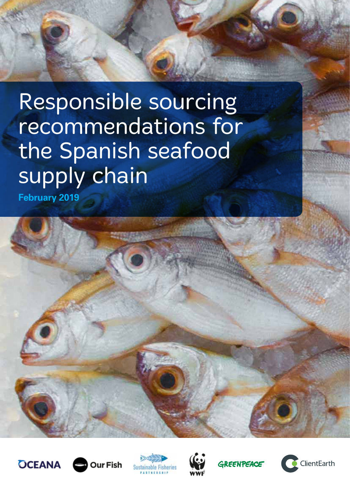# Responsible sourcing recommendations for the Spanish seafood supply chain

**February 2019**











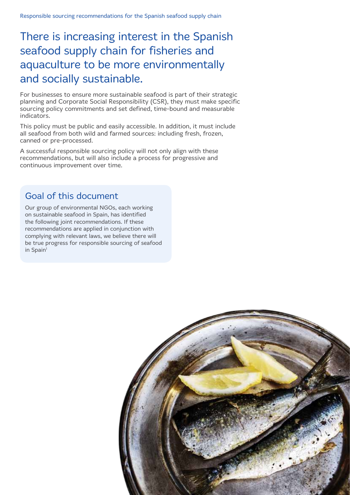### There is increasing interest in the Spanish seafood supply chain for fisheries and aquaculture to be more environmentally and socially sustainable.

For businesses to ensure more sustainable seafood is part of their strategic planning and Corporate Social Responsibility (CSR), they must make specific sourcing policy commitments and set defined, time-bound and measurable indicators.

This policy must be public and easily accessible. In addition, it must include all seafood from both wild and farmed sources: including fresh, frozen, canned or pre-processed.

A successful responsible sourcing policy will not only align with these recommendations, but will also include a process for progressive and continuous improvement over time.

### Goal of this document

Our group of environmental NGOs, each working on sustainable seafood in Spain, has identified the following joint recommendations. If these recommendations are applied in conjunction with complying with relevant laws, we believe there will be true progress for responsible sourcing of seafood in Spain<sup>1</sup>

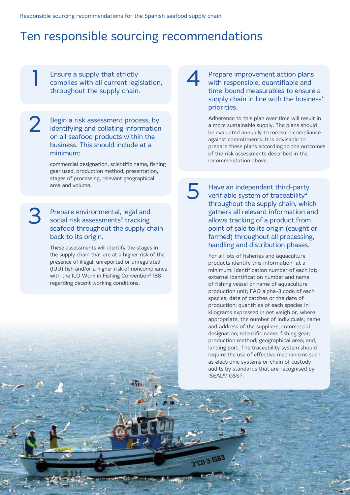### Ten responsible sourcing recommendations

Ensure a supply that strictly complies with all current legislation, throughout the supply chain. **Ensure a supply that strictly<br>complies with all current legislation,<br>throughout the supply chain** 

Begin a risk assessment process, by identifying and collating information on all seafood products within the business. This should include at a minimum: 2

> commercial designation, scientific name, fishing gear used, production method, presentation, stages of processing, relevant geographical area and volume.

#### Prepare environmental, legal and social risk assessments<sup>2</sup> tracking seafood throughout the supply chain back to its origin. 3

These assessments will identify the stages in the supply chain that are at a higher risk of the presence of illegal, unreported or unregulated (IUU) fish and/or a higher risk of noncompliance with the ILO Work in Fishing Convention<sup>3</sup> 188 regarding decent working conditions.

Prepare improvement action plans with responsible, quantifiable and time-bound measurables to ensure a supply chain in line with the business' priorities.

Adherence to this plan over time will result in a more sustainable supply. The plans should be evaluated annually to measure compliance against commitments. It is advisable to prepare these plans according to the outcomes of the risk assessments described in the recommendation above.

Have an independent third-party verifiable system of traceability4 throughout the supply chain, which gathers all relevant information and allows tracking of a product from point of sale to its origin (caught or farmed) throughout all processing, handling and distribution phases.

5

3'CD-3-156

For all lots of fisheries and aquaculture products identify this information<sup>5</sup> at a minimum: identification number of each lot; external identification number and name of fishing vessel or name of aquaculture production unit; FAO alpha-3 code of each species; date of catches or the date of production; quantities of each species in kilograms expressed in net weigh or, where appropriate, the number of individuals; name and address of the suppliers; commercial designation; scientific name; fishing gear; production method; geographical area; and, landing port. The traceability system should require the use of effective mechanisms such as electronic systems or chain of custody audits by standards that are recognised by ISEAL<sup>6</sup>/ GSSI<sup>7</sup>.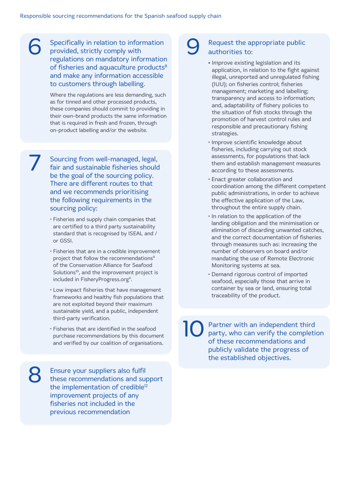Specifically in relation to information<br>
provided, strictly comply with<br>
requlations on mandatory information provided, strictly comply with regulations on mandatory information of fisheries and aquaculture products<sup>8</sup> and make any information accessible to customers through labelling.

> Where the regulations are less demanding, such as for tinned and other processed products, these companies should commit to providing in their own-brand products the same information that is required in fresh and frozen, through on-product labelling and/or the website.

7

8

Sourcing from well-managed, legal, fair and sustainable fisheries should be the goal of the sourcing policy. There are different routes to that and we recommends prioritising the following requirements in the sourcing policy:

- Fisheries and supply chain companies that are certified to a third party sustainability standard that is recognised by ISEAL and / or GSSI.
- Fisheries that are in a credible improvement project that follow the recommendations<sup>9</sup> of the Conservation Alliance for Seafood Solutions<sup>10</sup>, and the improvement project is included in FisheryProgress.org<sup>11</sup>.
- Low impact fisheries that have management frameworks and healthy fish populations that are not exploited beyond their maximum sustainable yield, and a public, independent third-party verification.
- Fisheries that are identified in the seafood purchase recommendations by this document and verified by our coalition of organisations.

Ensure your suppliers also fulfil these recommendations and support the implementation of credible<sup>12</sup> improvement projects of any fisheries not included in the previous recommendation

#### Request the appropriate public authorities to:

- **•** Improve existing legislation and its application, in relation to the fight against illegal, unreported and unregulated fishing (IUU); on fisheries control; fisheries management; marketing and labelling; transparency and access to information; and, adaptability of fishery policies to the situation of fish stocks through the promotion of harvest control rules and responsible and precautionary fishing strategies.
- Improve scientific knowledge about fisheries, including carrying out stock assessments, for populations that lack them and establish management measures according to these assessments.
- Enact greater collaboration and coordination among the different competent public administrations, in order to achieve the effective application of the Law, throughout the entire supply chain.
- In relation to the application of the landing obligation and the minimisation or elimination of discarding unwanted catches, and the correct documentation of fisheries through measures such as: increasing the number of observers on board and/or mandating the use of Remote Electronic Monitoring systems at sea.
- Demand rigorous control of imported seafood, especially those that arrive in container by sea or land, ensuring total traceability of the product.

Partner with an independent third party, who can verify the completion of these recommendations and publicly validate the progress of the established objectives. 10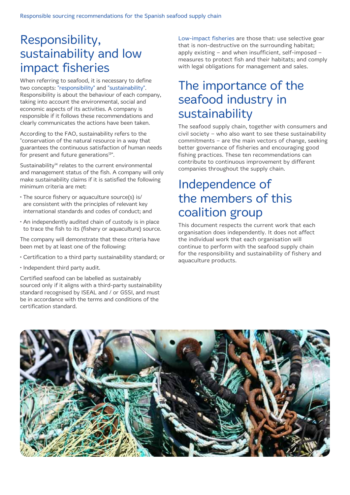### Responsibility, sustainability and low impact fisheries

When referring to seafood, it is necessary to define two concepts: "responsibility" and "sustainability". Responsibility is about the behaviour of each company, taking into account the environmental, social and economic aspects of its activities. A company is responsible if it follows these recommendations and clearly communicates the actions have been taken.

According to the FAO, sustainability refers to the "conservation of the natural resource in a way that guarantees the continuous satisfaction of human needs for present and future generations<sup>13"</sup>.

Sustainability<sup>14</sup> relates to the current environmental and management status of the fish. A company will only make sustainability claims if it is satisfied the following minimum criteria are met:

- The source fishery or aquaculture source(s) is/ are consistent with the principles of relevant key international standards and codes of conduct; and
- An independently audited chain of custody is in place to trace the fish to its (fishery or aquaculture) source.

The company will demonstrate that these criteria have been met by at least one of the following:

- Certification to a third party sustainability standard; or
- Independent third party audit.

Certified seafood can be labelled as sustainably sourced only if it aligns with a third-party sustainability standard recognised by ISEAL and / or GSSI, and must be in accordance with the terms and conditions of the certification standard.

Low-impact fisheries are those that: use selective gear that is non-destructive on the surrounding habitat; apply existing – and when insufficient, self-imposed – measures to protect fish and their habitats; and comply with legal obligations for management and sales.

### The importance of the seafood industry in sustainability

The seafood supply chain, together with consumers and civil society – who also want to see these sustainability commitments – are the main vectors of change, seeking better governance of fisheries and encouraging good fishing practices. These ten recommendations can contribute to continuous improvement by different companies throughout the supply chain.

## Independence of the members of this coalition group

This document respects the current work that each organisation does independently. It does not affect the individual work that each organisation will continue to perform with the seafood supply chain for the responsibility and sustainability of fishery and aquaculture products.